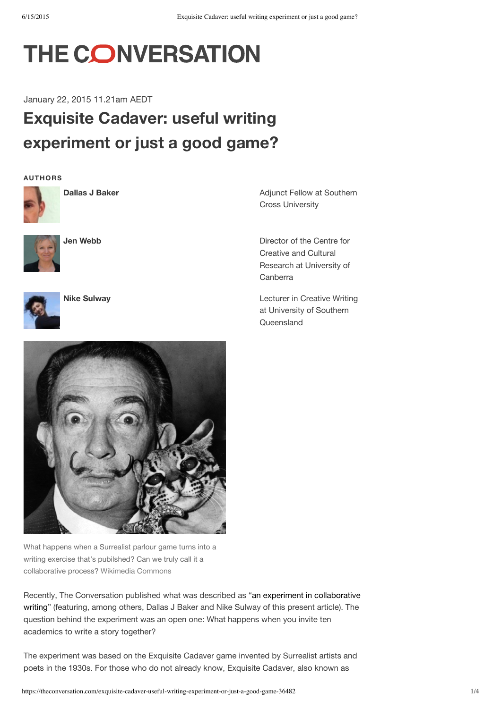# THE CONVERSATION

January 22, 2015 11.21am AEDT

## **Exquisite Cadaver: useful writing experiment or just a good game?**

**AUTHORS**



**Dallas J Baker**



**Jen Webb**



**Nike Sulway**

Adjunct Fellow at Southern Cross University

Director of the Centre for Creative and Cultural Research at University of Canberra

Lecturer in Creative Writing at University of Southern **Queensland** 



What happens when a Surrealist parlour game turns into a writing exercise that's pubilshed? Can we truly call it a collaborative process? Wikimedia Commons

Recently, The Conversation published what was described as "an experiment in collaborative writing" (featuring, among others, Dallas J Baker and Nike Sulway of this present article). The question behind the experiment was an open one: What happens when you invite ten academics to write a story together?

The experiment was based on the Exquisite Cadaver game invented by Surrealist artists and poets in the 1930s. For those who do not already know, Exquisite Cadaver, also known as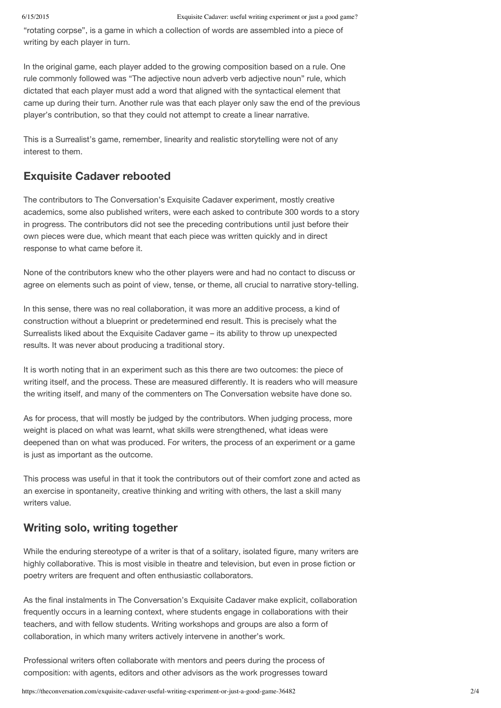"rotating corpse", is a game in which a collection of words are assembled into a piece of writing by each player in turn.

In the original game, each player added to the growing composition based on a rule. One rule commonly followed was "The adjective noun adverb verb adjective noun" rule, which dictated that each player must add a word that aligned with the syntactical element that came up during their turn. Another rule was that each player only saw the end of the previous player's contribution, so that they could not attempt to create a linear narrative.

This is a Surrealist's game, remember, linearity and realistic storytelling were not of any interest to them.

### **Exquisite Cadaver rebooted**

The contributors to The Conversation's Exquisite Cadaver experiment, mostly creative academics, some also published writers, were each asked to contribute 300 words to a story in progress. The contributors did not see the preceding contributions until just before their own pieces were due, which meant that each piece was written quickly and in direct response to what came before it.

None of the contributors knew who the other players were and had no contact to discuss or agree on elements such as point of view, tense, or theme, all crucial to narrative story-telling.

In this sense, there was no real collaboration, it was more an additive process, a kind of construction without a blueprint or predetermined end result. This is precisely what the Surrealists liked about the Exquisite Cadaver game – its ability to throw up unexpected results. It was never about producing a traditional story.

It is worth noting that in an experiment such as this there are two outcomes: the piece of writing itself, and the process. These are measured differently. It is readers who will measure the writing itself, and many of the commenters on The Conversation website have done so.

As for process, that will mostly be judged by the contributors. When judging process, more weight is placed on what was learnt, what skills were strengthened, what ideas were deepened than on what was produced. For writers, the process of an experiment or a game is just as important as the outcome.

This process was useful in that it took the contributors out of their comfort zone and acted as an exercise in spontaneity, creative thinking and writing with others, the last a skill many writers value.

#### **Writing solo, writing together**

While the enduring stereotype of a writer is that of a solitary, isolated figure, many writers are highly collaborative. This is most visible in theatre and television, but even in prose fiction or poetry writers are frequent and often enthusiastic collaborators.

As the final instalments in The Conversation's Exquisite Cadaver make explicit, collaboration frequently occurs in a learning context, where students engage in collaborations with their teachers, and with fellow students. Writing workshops and groups are also a form of collaboration, in which many writers actively intervene in another's work.

Professional writers often collaborate with mentors and peers during the process of composition: with agents, editors and other advisors as the work progresses toward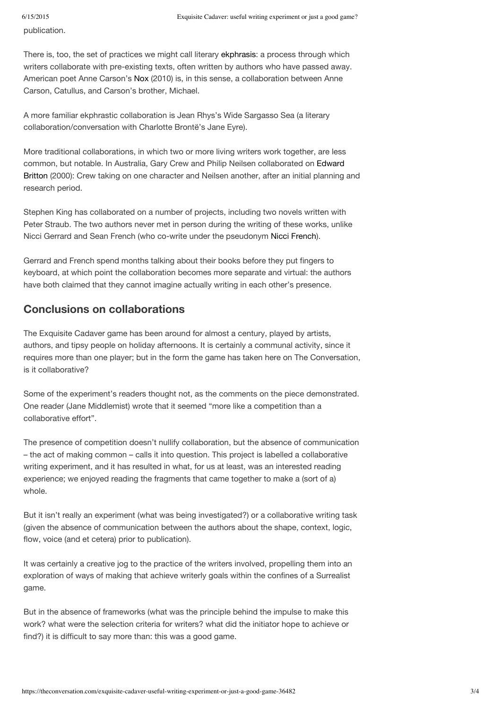publication.

There is, too, the set of practices we might call literary ekphrasis: a process through which writers collaborate with pre-existing texts, often written by authors who have passed away. American poet Anne Carson's Nox (2010) is, in this sense, a collaboration between Anne Carson, Catullus, and Carson's brother, Michael.

A more familiar ekphrastic collaboration is Jean Rhys's Wide Sargasso Sea (a literary collaboration/conversation with Charlotte Brontë's Jane Eyre).

More traditional collaborations, in which two or more living writers work together, are less common, but notable. In Australia, Gary Crew and Philip Neilsen collaborated on Edward Britton (2000): Crew taking on one character and Neilsen another, after an initial planning and research period.

Stephen King has collaborated on a number of projects, including two novels written with Peter Straub. The two authors never met in person during the writing of these works, unlike Nicci Gerrard and Sean French (who co-write under the pseudonym Nicci French).

Gerrard and French spend months talking about their books before they put fingers to keyboard, at which point the collaboration becomes more separate and virtual: the authors have both claimed that they cannot imagine actually writing in each other's presence.

### **Conclusions on collaborations**

The Exquisite Cadaver game has been around for almost a century, played by artists, authors, and tipsy people on holiday afternoons. It is certainly a communal activity, since it requires more than one player; but in the form the game has taken here on The Conversation, is it collaborative?

Some of the experiment's readers thought not, as the comments on the piece demonstrated. One reader (Jane Middlemist) wrote that it seemed "more like a competition than a collaborative effort".

The presence of competition doesn't nullify collaboration, but the absence of communication – the act of making common – calls it into question. This project is labelled a collaborative writing experiment, and it has resulted in what, for us at least, was an interested reading experience; we enjoyed reading the fragments that came together to make a (sort of a) whole.

But it isn't really an experiment (what was being investigated?) or a collaborative writing task (given the absence of communication between the authors about the shape, context, logic, flow, voice (and et cetera) prior to publication).

It was certainly a creative jog to the practice of the writers involved, propelling them into an exploration of ways of making that achieve writerly goals within the confines of a Surrealist game.

But in the absence of frameworks (what was the principle behind the impulse to make this work? what were the selection criteria for writers? what did the initiator hope to achieve or find?) it is difficult to say more than: this was a good game.